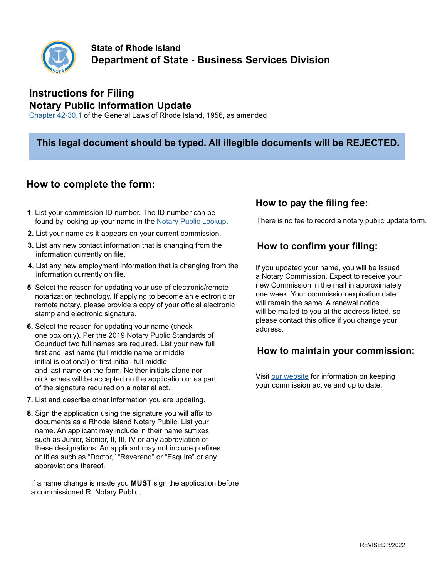

# **Instructions for Filing Notary Public Information Update**

[Chapter 42-30.1](http://webserver.rilin.state.ri.us/Statutes/TITLE42/42-30.1/INDEX.HTM) of the General Laws of Rhode Island, 1956, as amended

#### **This legal document should be typed. All illegible documents will be REJECTED.**

## **How to complete the form:**

- **1**. List your commission ID number. The ID number can be found by looking up your name in the [Notary Public Lookup.](https://business.sos.ri.gov/PublicNotarySearch/Home) There is no fee to record a notary public update form.
- **2.** List your name as it appears on your current commission.
- **3.** List any new contact information that is changing from the information currently on file.
- **4**. List any new employment information that is changing from the information currently on file.
- **5**. Select the reason for updating your use of electronic/remote notarization technology. If applying to become an electronic or remote notary, please provide a copy of your official electronic stamp and electronic signature.
- **6.** Select the reason for updating your name (check one box only). Per the 2019 Notary Public Standards of Counduct two full names are required. List your new full first and last name (full middle name or middle initial is optional) or first initial, full middle and last name on the form. Neither initials alone nor nicknames will be accepted on the application or as part of the signature required on a notarial act.
- **7.** List and describe other information you are updating.
- **8.** Sign the application using the signature you will affix to documents as a Rhode Island Notary Public. List your name. An applicant may include in their name suffixes such as Junior, Senior, II, III, IV or any abbreviation of these designations. An applicant may not include prefixes or titles such as "Doctor," "Reverend" or "Esquire" or any abbreviations thereof.

 If a name change is made you **MUST** sign the application before a commissioned RI Notary Public.

### **How to pay the filing fee:**

### **How to confirm your filing:**

If you updated your name, you will be issued a Notary Commission. Expect to receive your new Commission in the mail in approximately one week. Your commission expiration date will remain the same. A renewal notice will be mailed to you at the address listed, so please contact this office if you change your address.

### **How to maintain your commission:**

Visit [our website](https://www.sos.ri.gov/divisions/notary-public) for information on keeping your commission active and up to date.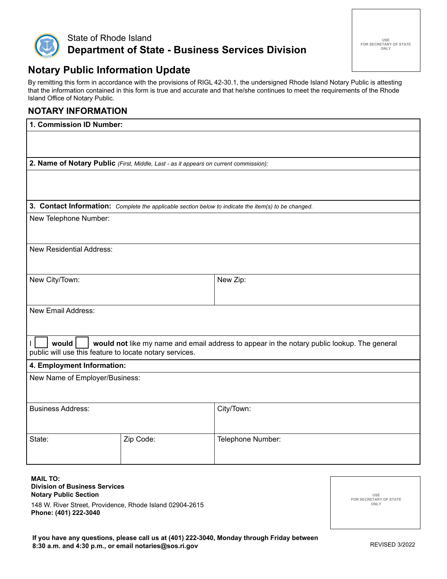

# **Notary Public Information Update**

By remitting this form in accordance with the provisions of RIGL 42-30.1, the undersigned Rhode Island Notary Public is attesting that the information contained in this form is true and accurate and that he/she continues to meet the requirements of the Rhode Island Office of Notary Public.

#### **NOTARY INFORMATION**

| 1. Commission ID Number:                                                                             |           |                   |  |  |
|------------------------------------------------------------------------------------------------------|-----------|-------------------|--|--|
|                                                                                                      |           |                   |  |  |
| 2. Name of Notary Public (First, Middle, Last - as it appears on current commission):                |           |                   |  |  |
|                                                                                                      |           |                   |  |  |
|                                                                                                      |           |                   |  |  |
| 3. Contact Information: Complete the applicable section below to indicate the item(s) to be changed. |           |                   |  |  |
| New Telephone Number:                                                                                |           |                   |  |  |
|                                                                                                      |           |                   |  |  |
| <b>New Residential Address:</b>                                                                      |           |                   |  |  |
|                                                                                                      |           |                   |  |  |
| New City/Town:                                                                                       |           | New Zip:          |  |  |
|                                                                                                      |           |                   |  |  |
| <b>New Email Address:</b>                                                                            |           |                   |  |  |
|                                                                                                      |           |                   |  |  |
| would<br>would not like my name and email address to appear in the notary public lookup. The general |           |                   |  |  |
| public will use this feature to locate notary services.                                              |           |                   |  |  |
| 4. Employment Information:                                                                           |           |                   |  |  |
| New Name of Employer/Business:                                                                       |           |                   |  |  |
|                                                                                                      |           |                   |  |  |
| <b>Business Address:</b>                                                                             |           | City/Town:        |  |  |
|                                                                                                      |           |                   |  |  |
| State:                                                                                               | Zip Code: | Telephone Number: |  |  |
|                                                                                                      |           |                   |  |  |
|                                                                                                      |           |                   |  |  |

**MAIL TO:**

**Division of Business Services Notary Public Section**

148 W. River Street, Providence, Rhode Island 02904-2615 **Phone: (401) 222-3040**

**USE FOR SECRETARY OF STATE ONLY**